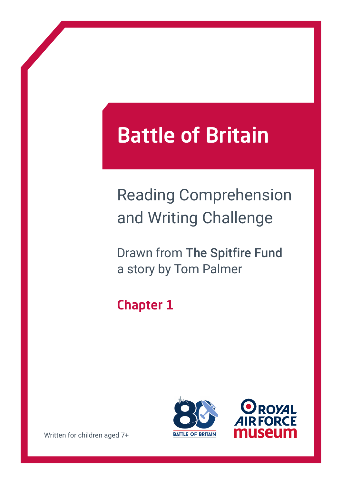# Battle of Britain

## Reading Comprehension and Writing Challenge

Drawn from The Spitfire Fund a story by Tom Palmer

### Chapter 1





Written for children aged 7+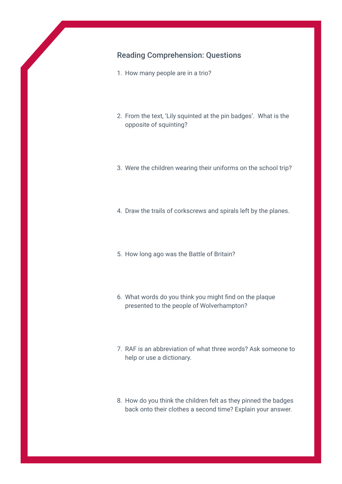#### Reading Comprehension: Questions

- 1. How many people are in a trio?
- 2. From the text, 'Lily squinted at the pin badges'. What is the opposite of squinting?
- 3. Were the children wearing their uniforms on the school trip?
- 4. Draw the trails of corkscrews and spirals left by the planes.
- 5. How long ago was the Battle of Britain?
- 6. What words do you think you might find on the plaque presented to the people of Wolverhampton?
- 7. RAF is an abbreviation of what three words? Ask someone to help or use a dictionary.
- 8. How do you think the children felt as they pinned the badges back onto their clothes a second time? Explain your answer.